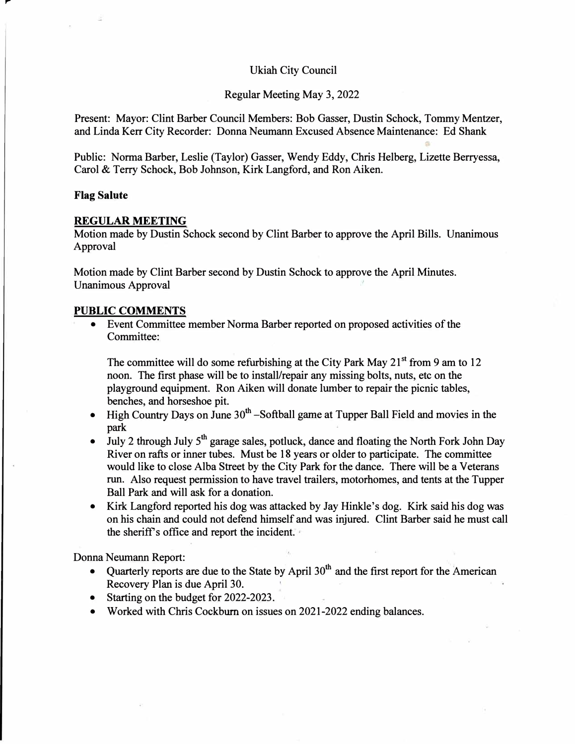## Ukiah City Council

Regular Meeting May 3, 2022

Present: Mayor: Clint Barber Council Members: Bob Gasser, Dustin Schock, Tommy Mentzer, and Linda Kerr City Recorder: Donna Neumann Excused Absence Maintenance: Ed Shank

Public: Norma Barber, Leslie (Taylor) Gasser, Wendy Eddy, Chris Helberg, Lizette Berryessa, Carol & Terry Schock, Bob Johnson, Kirk Langford, and Ron Aiken.

## **Flag Salute**

,..

#### **REGULAR MEETING**

Motion made by Dustin Schock second by Clint Barber to approve the April Bills. Unanimous Approval

Motion made by Clint Barber second by Dustin Schock to approve the April Minutes. Unanimous Approval

## **PUBLIC COMMENTS**

• Event Committee member Norma Barber reported on proposed activities of the Committee:

The committee will do some refurbishing at the City Park May 21**st** from 9 am to 12 noon. The first phase will be to install/repair any missing bolts, nuts, etc on the playground equipment. Ron Aiken will donate lumber to repair the picnic tables, benches, and horseshoe pit.

- High Country Days on June  $30<sup>th</sup>$  -Softball game at Tupper Ball Field and movies in the park
- July 2 through July  $5<sup>th</sup>$  garage sales, potluck, dance and floating the North Fork John Day River on rafts or inner tubes. Must be 18 years or older to participate. The committee would like to close Alba Street by the City Park for the dance. There will be a Veterans run. Also request permission to have travel trailers, motorhomes, and tents at the Tupper Ball Park and will ask for a donation.
- Kirk Langford reported his dog was attacked by Jay Hinkle's dog. Kirk said his dog was on his chain and could not defend himself and was injured. Clint Barber said he must call the sheriff's office and report the incident.

Donna Neumann Report:

- Quarterly reports are due to the State by April  $30<sup>th</sup>$  and the first report for the American Recovery Plan is due April 30.
- Starting on the budget for 2022-2023.
- Worked with Chris Cockburn on issues on 2021-2022 ending balances.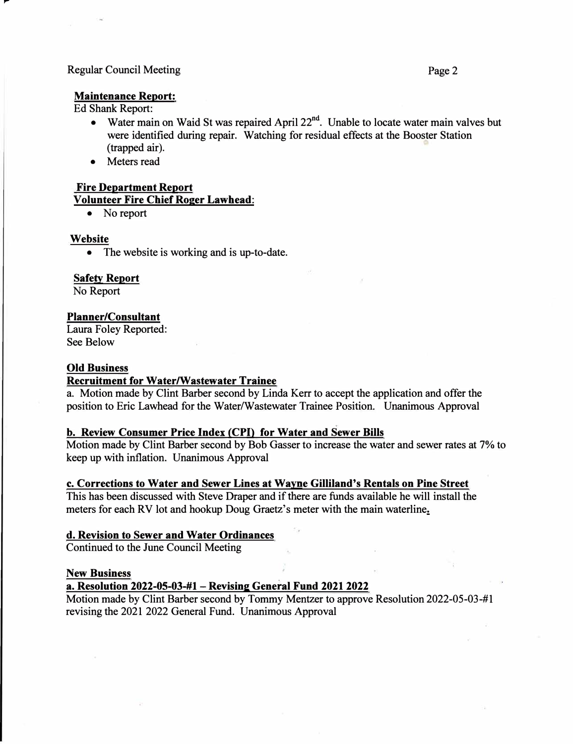#### Regular Council Meeting Page 2

## **Maintenance Report:**

Ed Shank Report:

,,..

- Water main on Waid St was repaired April 22<sup>nd</sup>. Unable to locate water main valves but were identified during repair. Watching for residual effects at the Booster Station (trapped air).
- Meters read

## **Fire Department Report**

**Volunteer Fire Chief Roger Lawhead:** 

• No report

## **Website**

• The website is working and is up-to-date.

## **Safety Report**

No Report

## **Planner/Consultant**

Laura Foley Reported: See Below

## **Old Business**

## **Recruitment for Water/Wastewater Trainee**

a. Motion made by Clint Barber second by Linda Kerr to accept the application and offer the position to Eric Lawhead for the Water/Wastewater Trainee Position. Unanimous Approval

## **b. Review Consumer Price Index (CPI) for Water and Sewer Bills**

Motion made by Clint Barber second by Bob Gasser to increase the water and sewer rates at 7% to keep up with inflation. Unanimous Approval

## **c. Corrections to Water and Sewer Lines at Wayne Gilliland's Rentals on Pine Street**

This has been discussed with Steve Draper and if there are funds available he will install the meters for each RV lot and hookup Doug Graetz's meter with the main waterline.

# **d. Revision to Sewer and Water Ordinances**

Continued to the June Council Meeting

#### **New Business**

## **a. Resolution 2022-05-03-#1-Revising General Fund 20212022**

Motion made by Clint Barber second by Tommy Mentzer to approve Resolution 2022-05-03-#1 revising the 2021 2022 General Fund. Unanimous Approval